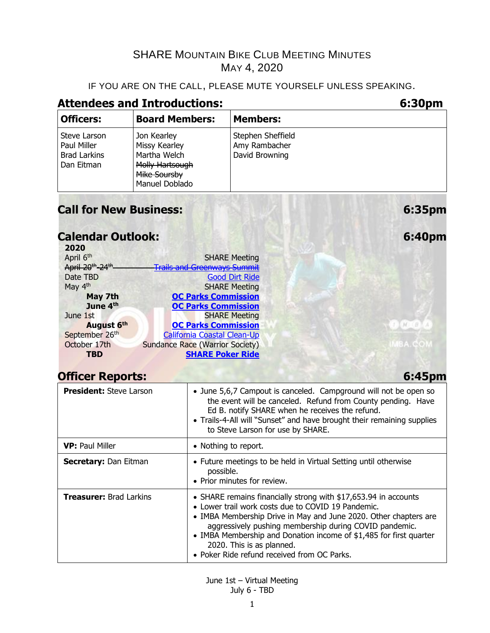### IF YOU ARE ON THE CALL, PLEASE MUTE YOURSELF UNLESS SPEAKING.

#### **Attendees and Introductions: 6:30pm**

| Officers:                                                                 | <b>Board Members:</b>                                                                             | <b>Members:</b>                                      |
|---------------------------------------------------------------------------|---------------------------------------------------------------------------------------------------|------------------------------------------------------|
| Steve Larson<br><b>Paul Miller</b><br><b>Brad Larkins</b><br>  Dan Eitman | Jon Kearley<br>Missy Kearley<br>Martha Welch<br>Molly Hartsough<br>Mike Soursby<br>Manuel Doblado | Stephen Sheffield<br>Amy Rambacher<br>David Browning |

## **Call for New Business: 6:35pm**

# **Calendar Outlook: 6:40pm**

| 2020                                     |                                        |      |
|------------------------------------------|----------------------------------------|------|
| April 6 <sup>th</sup>                    | <b>SHARE Meeting</b>                   |      |
| April 20 <sup>th</sup> -24 <sup>th</sup> | <b>Trails and Greenways Summit</b>     |      |
| Date TBD                                 | <b>Good Dirt Ride</b>                  |      |
| May 4th                                  | <b>SHARE Meeting</b>                   |      |
| May 7th                                  | <b>OC Parks Commission</b>             |      |
| June 4th                                 | <b>OC Parks Commission</b>             |      |
| June 1st                                 | <b>SHARE Meeting</b>                   |      |
| <b>August 6th</b>                        | <b>OC Parks Commission</b>             | IMAB |
| September 26th                           | <b>California Coastal Clean-Up</b>     |      |
| October 17th                             | <b>Sundance Race (Warrior Society)</b> |      |
| <b>TBD</b>                               | <b>SHARE Poker Ride</b>                |      |
|                                          |                                        |      |

## **Officer Reports: 6:45pm**

| <b>President: Steve Larson</b> | • June 5,6,7 Campout is canceled. Campground will not be open so<br>the event will be canceled. Refund from County pending. Have<br>Ed B. notify SHARE when he receives the refund.<br>• Trails-4-All will "Sunset" and have brought their remaining supplies<br>to Steve Larson for use by SHARE.                                                                                                    |
|--------------------------------|-------------------------------------------------------------------------------------------------------------------------------------------------------------------------------------------------------------------------------------------------------------------------------------------------------------------------------------------------------------------------------------------------------|
| <b>VP:</b> Paul Miller         | • Nothing to report.                                                                                                                                                                                                                                                                                                                                                                                  |
| <b>Secretary: Dan Eitman</b>   | • Future meetings to be held in Virtual Setting until otherwise<br>possible.<br>• Prior minutes for review.                                                                                                                                                                                                                                                                                           |
| <b>Treasurer: Brad Larkins</b> | • SHARE remains financially strong with \$17,653.94 in accounts<br>• Lower trail work costs due to COVID 19 Pandemic.<br>• IMBA Membership Drive in May and June 2020. Other chapters are<br>aggressively pushing membership during COVID pandemic.<br>• IMBA Membership and Donation income of \$1,485 for first quarter<br>2020. This is as planned.<br>• Poker Ride refund received from OC Parks. |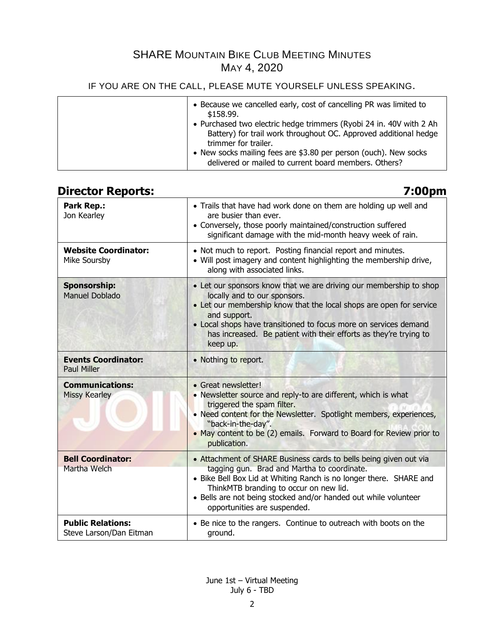#### IF YOU ARE ON THE CALL, PLEASE MUTE YOURSELF UNLESS SPEAKING.

| • Because we cancelled early, cost of cancelling PR was limited to<br>\$158.99.<br>• Purchased two electric hedge trimmers (Ryobi 24 in. 40V with 2 Ah<br>Battery) for trail work throughout OC. Approved additional hedge<br>trimmer for trailer. |
|----------------------------------------------------------------------------------------------------------------------------------------------------------------------------------------------------------------------------------------------------|
| • New socks mailing fees are \$3.80 per person (ouch). New socks<br>delivered or mailed to current board members. Others?                                                                                                                          |

## **Director Reports: 7:00pm**

| Park Rep.:<br>Jon Kearley                           | • Trails that have had work done on them are holding up well and<br>are busier than ever.<br>• Conversely, those poorly maintained/construction suffered<br>significant damage with the mid-month heavy week of rain.                                                                                                                          |
|-----------------------------------------------------|------------------------------------------------------------------------------------------------------------------------------------------------------------------------------------------------------------------------------------------------------------------------------------------------------------------------------------------------|
| <b>Website Coordinator:</b><br>Mike Soursby         | • Not much to report. Posting financial report and minutes.<br>• Will post imagery and content highlighting the membership drive,<br>along with associated links.                                                                                                                                                                              |
| <b>Sponsorship:</b><br><b>Manuel Doblado</b>        | • Let our sponsors know that we are driving our membership to shop<br>locally and to our sponsors.<br>• Let our membership know that the local shops are open for service<br>and support.<br>• Local shops have transitioned to focus more on services demand<br>has increased. Be patient with their efforts as they're trying to<br>keep up. |
| <b>Events Coordinator:</b><br><b>Paul Miller</b>    | • Nothing to report.                                                                                                                                                                                                                                                                                                                           |
| <b>Communications:</b><br><b>Missy Kearley</b>      | • Great newsletter!<br>• Newsletter source and reply-to are different, which is what<br>triggered the spam filter.<br>• Need content for the Newsletter. Spotlight members, experiences,<br>"back-in-the-day".<br>• May content to be (2) emails. Forward to Board for Review prior to<br>publication.                                         |
| <b>Bell Coordinator:</b><br>Martha Welch            | • Attachment of SHARE Business cards to bells being given out via<br>tagging gun. Brad and Martha to coordinate.<br>• Bike Bell Box Lid at Whiting Ranch is no longer there. SHARE and<br>ThinkMTB branding to occur on new lid.<br>• Bells are not being stocked and/or handed out while volunteer<br>opportunities are suspended.            |
| <b>Public Relations:</b><br>Steve Larson/Dan Eitman | • Be nice to the rangers. Continue to outreach with boots on the<br>ground.                                                                                                                                                                                                                                                                    |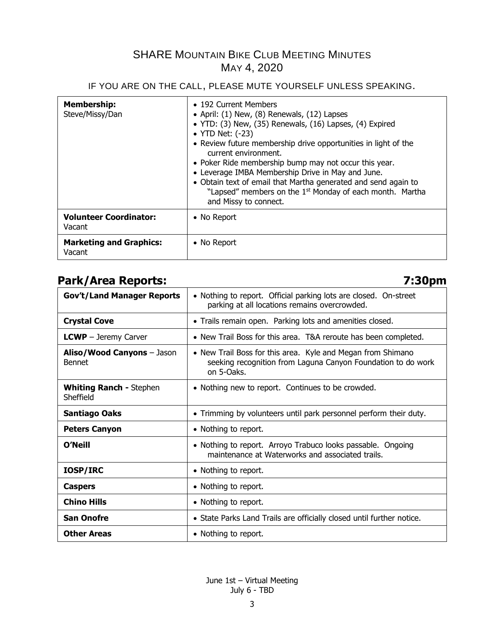IF YOU ARE ON THE CALL, PLEASE MUTE YOURSELF UNLESS SPEAKING.

| <b>Membership:</b><br>Steve/Missy/Dan    | • 192 Current Members<br>• April: (1) New, (8) Renewals, (12) Lapses<br>• YTD: $(3)$ New, $(35)$ Renewals, $(16)$ Lapses, $(4)$ Expired<br>• YTD Net: (-23)<br>• Review future membership drive opportunities in light of the<br>current environment.<br>• Poker Ride membership bump may not occur this year.<br>• Leverage IMBA Membership Drive in May and June.<br>• Obtain text of email that Martha generated and send again to<br>"Lapsed" members on the 1 <sup>st</sup> Monday of each month. Martha<br>and Missy to connect. |
|------------------------------------------|----------------------------------------------------------------------------------------------------------------------------------------------------------------------------------------------------------------------------------------------------------------------------------------------------------------------------------------------------------------------------------------------------------------------------------------------------------------------------------------------------------------------------------------|
| <b>Volunteer Coordinator:</b><br>Vacant  | • No Report                                                                                                                                                                                                                                                                                                                                                                                                                                                                                                                            |
| <b>Marketing and Graphics:</b><br>Vacant | • No Report                                                                                                                                                                                                                                                                                                                                                                                                                                                                                                                            |

## **Park/Area Reports: 7:30pm**

| <b>Gov't/Land Manager Reports</b>           | • Nothing to report. Official parking lots are closed. On-street<br>parking at all locations remains overcrowded.                         |  |  |  |
|---------------------------------------------|-------------------------------------------------------------------------------------------------------------------------------------------|--|--|--|
| <b>Crystal Cove</b>                         | • Trails remain open. Parking lots and amenities closed.                                                                                  |  |  |  |
| <b>LCWP</b> - Jeremy Carver                 | • New Trail Boss for this area. T&A reroute has been completed.                                                                           |  |  |  |
| Aliso/Wood Canyons - Jason<br><b>Bennet</b> | • New Trail Boss for this area. Kyle and Megan from Shimano<br>seeking recognition from Laguna Canyon Foundation to do work<br>on 5-Oaks. |  |  |  |
| Whiting Ranch - Stephen<br>Sheffield        | • Nothing new to report. Continues to be crowded.                                                                                         |  |  |  |
| <b>Santiago Oaks</b>                        | • Trimming by volunteers until park personnel perform their duty.                                                                         |  |  |  |
| <b>Peters Canyon</b>                        | • Nothing to report.                                                                                                                      |  |  |  |
| O'Neill                                     | • Nothing to report. Arroyo Trabuco looks passable. Ongoing<br>maintenance at Waterworks and associated trails.                           |  |  |  |
| <b>IOSP/IRC</b>                             | • Nothing to report.                                                                                                                      |  |  |  |
| <b>Caspers</b>                              | • Nothing to report.                                                                                                                      |  |  |  |
| <b>Chino Hills</b>                          | • Nothing to report.                                                                                                                      |  |  |  |
| <b>San Onofre</b>                           | • State Parks Land Trails are officially closed until further notice.                                                                     |  |  |  |
| <b>Other Areas</b>                          | • Nothing to report.                                                                                                                      |  |  |  |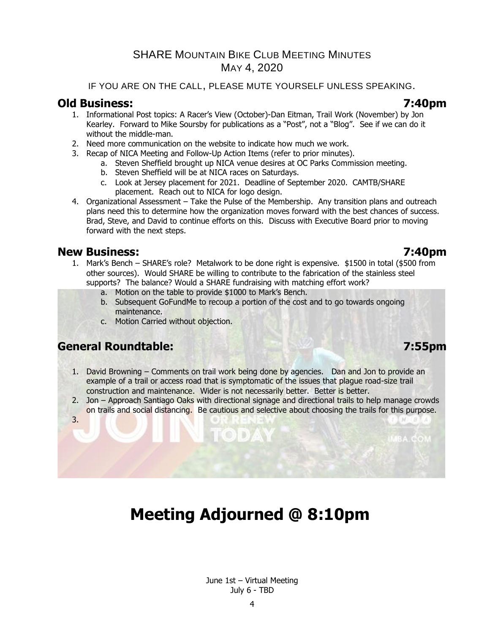#### IF YOU ARE ON THE CALL, PLEASE MUTE YOURSELF UNLESS SPEAKING.

#### **Old Business: 7:40pm**

- 1. Informational Post topics: A Racer's View (October)-Dan Eitman, Trail Work (November) by Jon Kearley. Forward to Mike Soursby for publications as a "Post", not a "Blog". See if we can do it without the middle-man.
- 2. Need more communication on the website to indicate how much we work.
- 3. Recap of NICA Meeting and Follow-Up Action Items (refer to prior minutes).
	- a. Steven Sheffield brought up NICA venue desires at OC Parks Commission meeting.
	- b. Steven Sheffield will be at NICA races on Saturdays.
	- c. Look at Jersey placement for 2021. Deadline of September 2020. CAMTB/SHARE placement. Reach out to NICA for logo design.
- 4. Organizational Assessment Take the Pulse of the Membership. Any transition plans and outreach plans need this to determine how the organization moves forward with the best chances of success. Brad, Steve, and David to continue efforts on this. Discuss with Executive Board prior to moving forward with the next steps.

#### **New Business: 7:40pm**

- 1. Mark's Bench SHARE's role? Metalwork to be done right is expensive. \$1500 in total (\$500 from other sources). Would SHARE be willing to contribute to the fabrication of the stainless steel supports? The balance? Would a SHARE fundraising with matching effort work?
	- a. Motion on the table to provide \$1000 to Mark's Bench.
	- b. Subsequent GoFundMe to recoup a portion of the cost and to go towards ongoing maintenance.
	- c. Motion Carried without objection.

#### **General Roundtable: 7:55pm**

3.

- 1. David Browning Comments on trail work being done by agencies. Dan and Jon to provide an example of a trail or access road that is symptomatic of the issues that plague road-size trail construction and maintenance. Wider is not necessarily better. Better is better.
- 2. Jon Approach Santiago Oaks with directional signage and directional trails to help manage crowds on trails and social distancing. Be cautious and selective about choosing the trails for this purpose.

# **Meeting Adjourned @ 8:10pm**

June 1st – Virtual Meeting July 6 - TBD

MERLA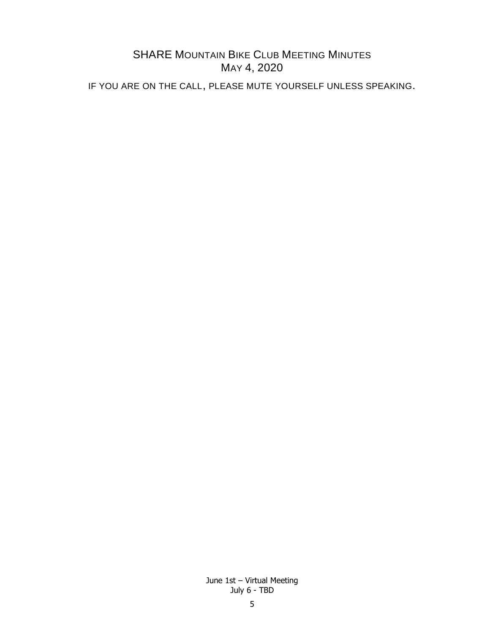IF YOU ARE ON THE CALL, PLEASE MUTE YOURSELF UNLESS SPEAKING.

#### June 1st – Virtual Meeting July 6 - TBD